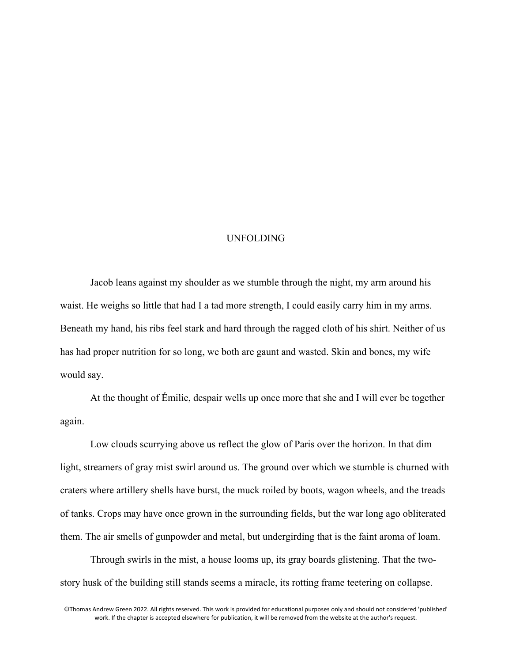## UNFOLDING

Jacob leans against my shoulder as we stumble through the night, my arm around his waist. He weighs so little that had I a tad more strength, I could easily carry him in my arms. Beneath my hand, his ribs feel stark and hard through the ragged cloth of his shirt. Neither of us has had proper nutrition for so long, we both are gaunt and wasted. Skin and bones, my wife would say.

At the thought of Émilie, despair wells up once more that she and I will ever be together again.

Low clouds scurrying above us reflect the glow of Paris over the horizon. In that dim light, streamers of gray mist swirl around us. The ground over which we stumble is churned with craters where artillery shells have burst, the muck roiled by boots, wagon wheels, and the treads of tanks. Crops may have once grown in the surrounding fields, but the war long ago obliterated them. The air smells of gunpowder and metal, but undergirding that is the faint aroma of loam.

Through swirls in the mist, a house looms up, its gray boards glistening. That the twostory husk of the building still stands seems a miracle, its rotting frame teetering on collapse.

©Thomas Andrew Green 2022. All rights reserved. This work is provided for educational purposes only and should not considered 'published' work. If the chapter is accepted elsewhere for publication, it will be removed from the website at the author's request.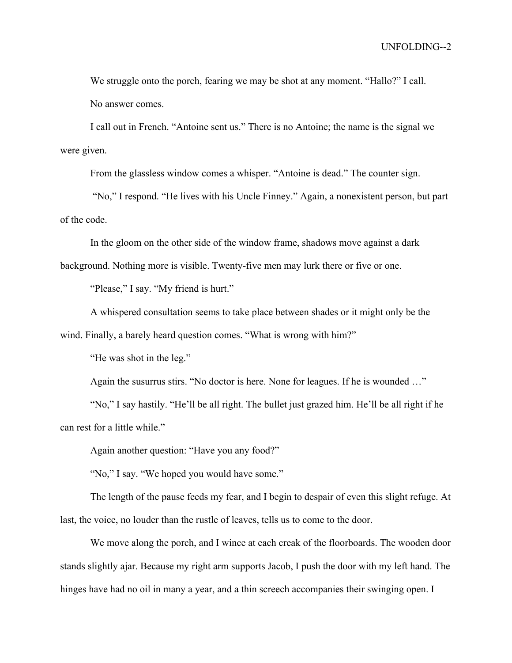We struggle onto the porch, fearing we may be shot at any moment. "Hallo?" I call. No answer comes.

I call out in French. "Antoine sent us." There is no Antoine; the name is the signal we were given.

From the glassless window comes a whisper. "Antoine is dead." The counter sign.

"No," I respond. "He lives with his Uncle Finney." Again, a nonexistent person, but part of the code.

In the gloom on the other side of the window frame, shadows move against a dark

background. Nothing more is visible. Twenty-five men may lurk there or five or one.

"Please," I say. "My friend is hurt."

A whispered consultation seems to take place between shades or it might only be the

wind. Finally, a barely heard question comes. "What is wrong with him?"

"He was shot in the leg."

Again the susurrus stirs. "No doctor is here. None for leagues. If he is wounded …"

"No," I say hastily. "He'll be all right. The bullet just grazed him. He'll be all right if he can rest for a little while."

Again another question: "Have you any food?"

"No," I say. "We hoped you would have some."

The length of the pause feeds my fear, and I begin to despair of even this slight refuge. At last, the voice, no louder than the rustle of leaves, tells us to come to the door.

We move along the porch, and I wince at each creak of the floorboards. The wooden door stands slightly ajar. Because my right arm supports Jacob, I push the door with my left hand. The hinges have had no oil in many a year, and a thin screech accompanies their swinging open. I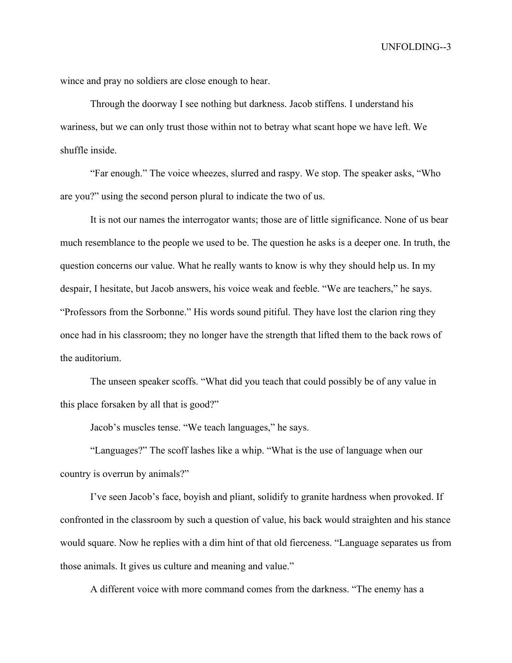wince and pray no soldiers are close enough to hear.

Through the doorway I see nothing but darkness. Jacob stiffens. I understand his wariness, but we can only trust those within not to betray what scant hope we have left. We shuffle inside.

"Far enough." The voice wheezes, slurred and raspy. We stop. The speaker asks, "Who are you?" using the second person plural to indicate the two of us.

It is not our names the interrogator wants; those are of little significance. None of us bear much resemblance to the people we used to be. The question he asks is a deeper one. In truth, the question concerns our value. What he really wants to know is why they should help us. In my despair, I hesitate, but Jacob answers, his voice weak and feeble. "We are teachers," he says. "Professors from the Sorbonne." His words sound pitiful. They have lost the clarion ring they once had in his classroom; they no longer have the strength that lifted them to the back rows of the auditorium.

The unseen speaker scoffs. "What did you teach that could possibly be of any value in this place forsaken by all that is good?"

Jacob's muscles tense. "We teach languages," he says.

"Languages?" The scoff lashes like a whip. "What is the use of language when our country is overrun by animals?"

I've seen Jacob's face, boyish and pliant, solidify to granite hardness when provoked. If confronted in the classroom by such a question of value, his back would straighten and his stance would square. Now he replies with a dim hint of that old fierceness. "Language separates us from those animals. It gives us culture and meaning and value."

A different voice with more command comes from the darkness. "The enemy has a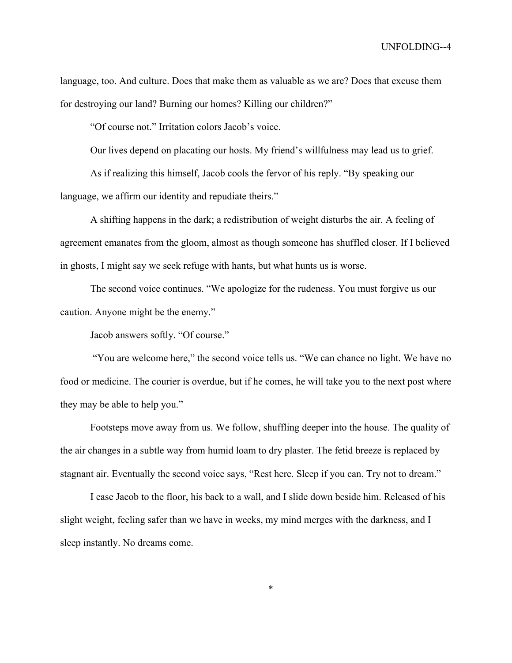language, too. And culture. Does that make them as valuable as we are? Does that excuse them for destroying our land? Burning our homes? Killing our children?"

"Of course not." Irritation colors Jacob's voice.

Our lives depend on placating our hosts. My friend's willfulness may lead us to grief.

As if realizing this himself, Jacob cools the fervor of his reply. "By speaking our language, we affirm our identity and repudiate theirs."

A shifting happens in the dark; a redistribution of weight disturbs the air. A feeling of agreement emanates from the gloom, almost as though someone has shuffled closer. If I believed in ghosts, I might say we seek refuge with hants, but what hunts us is worse.

The second voice continues. "We apologize for the rudeness. You must forgive us our caution. Anyone might be the enemy."

Jacob answers softly. "Of course."

"You are welcome here," the second voice tells us. "We can chance no light. We have no food or medicine. The courier is overdue, but if he comes, he will take you to the next post where they may be able to help you."

Footsteps move away from us. We follow, shuffling deeper into the house. The quality of the air changes in a subtle way from humid loam to dry plaster. The fetid breeze is replaced by stagnant air. Eventually the second voice says, "Rest here. Sleep if you can. Try not to dream."

I ease Jacob to the floor, his back to a wall, and I slide down beside him. Released of his slight weight, feeling safer than we have in weeks, my mind merges with the darkness, and I sleep instantly. No dreams come.

\*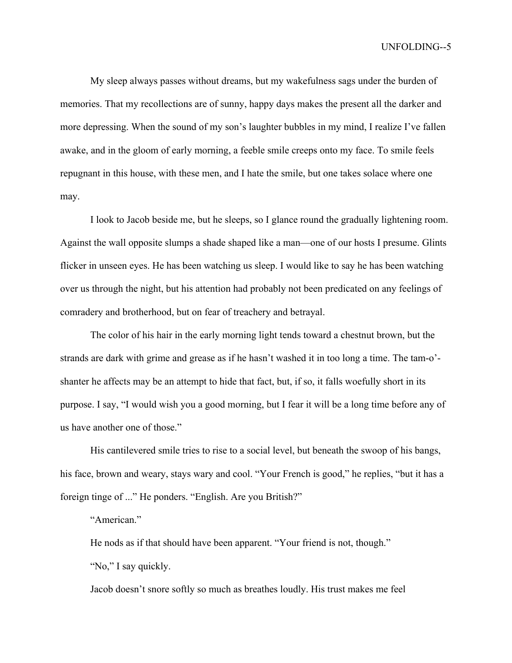My sleep always passes without dreams, but my wakefulness sags under the burden of memories. That my recollections are of sunny, happy days makes the present all the darker and more depressing. When the sound of my son's laughter bubbles in my mind, I realize I've fallen awake, and in the gloom of early morning, a feeble smile creeps onto my face. To smile feels repugnant in this house, with these men, and I hate the smile, but one takes solace where one may.

I look to Jacob beside me, but he sleeps, so I glance round the gradually lightening room. Against the wall opposite slumps a shade shaped like a man—one of our hosts I presume. Glints flicker in unseen eyes. He has been watching us sleep. I would like to say he has been watching over us through the night, but his attention had probably not been predicated on any feelings of comradery and brotherhood, but on fear of treachery and betrayal.

The color of his hair in the early morning light tends toward a chestnut brown, but the strands are dark with grime and grease as if he hasn't washed it in too long a time. The tam-o' shanter he affects may be an attempt to hide that fact, but, if so, it falls woefully short in its purpose. I say, "I would wish you a good morning, but I fear it will be a long time before any of us have another one of those."

His cantilevered smile tries to rise to a social level, but beneath the swoop of his bangs, his face, brown and weary, stays wary and cool. "Your French is good," he replies, "but it has a foreign tinge of ..." He ponders. "English. Are you British?"

"American."

He nods as if that should have been apparent. "Your friend is not, though."

"No," I say quickly.

Jacob doesn't snore softly so much as breathes loudly. His trust makes me feel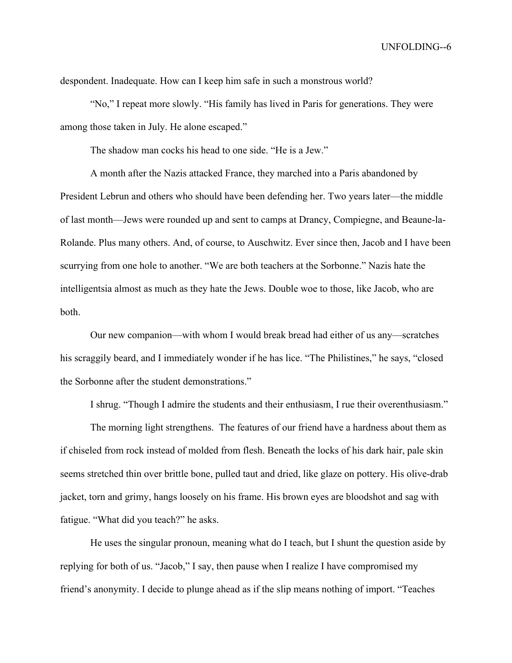despondent. Inadequate. How can I keep him safe in such a monstrous world?

"No," I repeat more slowly. "His family has lived in Paris for generations. They were among those taken in July. He alone escaped."

The shadow man cocks his head to one side. "He is a Jew."

A month after the Nazis attacked France, they marched into a Paris abandoned by President Lebrun and others who should have been defending her. Two years later—the middle of last month—Jews were rounded up and sent to camps at Drancy, Compiegne, and Beaune-la-Rolande. Plus many others. And, of course, to Auschwitz. Ever since then, Jacob and I have been scurrying from one hole to another. "We are both teachers at the Sorbonne." Nazis hate the intelligentsia almost as much as they hate the Jews. Double woe to those, like Jacob, who are both.

Our new companion—with whom I would break bread had either of us any—scratches his scraggily beard, and I immediately wonder if he has lice. "The Philistines," he says, "closed the Sorbonne after the student demonstrations."

I shrug. "Though I admire the students and their enthusiasm, I rue their overenthusiasm."

The morning light strengthens. The features of our friend have a hardness about them as if chiseled from rock instead of molded from flesh. Beneath the locks of his dark hair, pale skin seems stretched thin over brittle bone, pulled taut and dried, like glaze on pottery. His olive-drab jacket, torn and grimy, hangs loosely on his frame. His brown eyes are bloodshot and sag with fatigue. "What did you teach?" he asks.

He uses the singular pronoun, meaning what do I teach, but I shunt the question aside by replying for both of us. "Jacob," I say, then pause when I realize I have compromised my friend's anonymity. I decide to plunge ahead as if the slip means nothing of import. "Teaches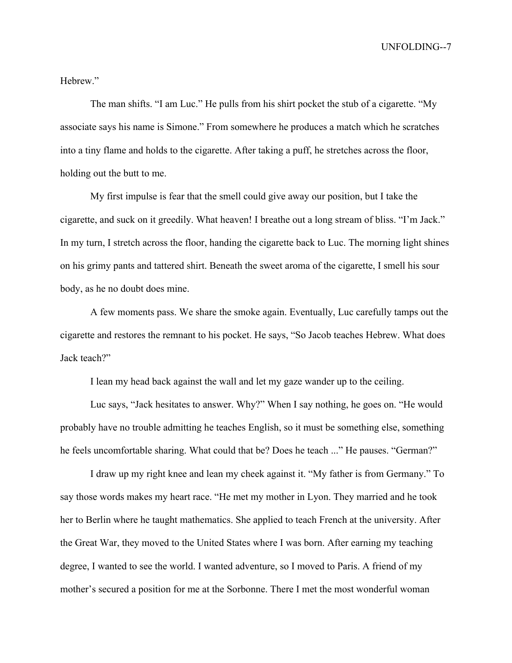Hebrew."

The man shifts. "I am Luc." He pulls from his shirt pocket the stub of a cigarette. "My associate says his name is Simone." From somewhere he produces a match which he scratches into a tiny flame and holds to the cigarette. After taking a puff, he stretches across the floor, holding out the butt to me.

My first impulse is fear that the smell could give away our position, but I take the cigarette, and suck on it greedily. What heaven! I breathe out a long stream of bliss. "I'm Jack." In my turn, I stretch across the floor, handing the cigarette back to Luc. The morning light shines on his grimy pants and tattered shirt. Beneath the sweet aroma of the cigarette, I smell his sour body, as he no doubt does mine.

A few moments pass. We share the smoke again. Eventually, Luc carefully tamps out the cigarette and restores the remnant to his pocket. He says, "So Jacob teaches Hebrew. What does Jack teach?"

I lean my head back against the wall and let my gaze wander up to the ceiling.

Luc says, "Jack hesitates to answer. Why?" When I say nothing, he goes on. "He would probably have no trouble admitting he teaches English, so it must be something else, something he feels uncomfortable sharing. What could that be? Does he teach ..." He pauses. "German?"

I draw up my right knee and lean my cheek against it. "My father is from Germany." To say those words makes my heart race. "He met my mother in Lyon. They married and he took her to Berlin where he taught mathematics. She applied to teach French at the university. After the Great War, they moved to the United States where I was born. After earning my teaching degree, I wanted to see the world. I wanted adventure, so I moved to Paris. A friend of my mother's secured a position for me at the Sorbonne. There I met the most wonderful woman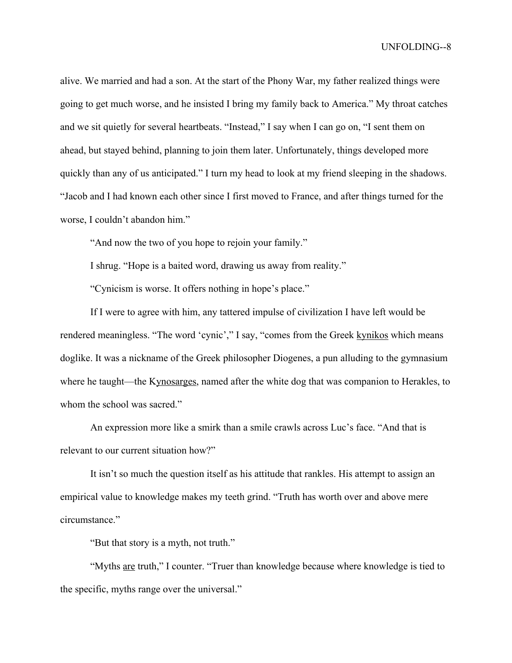alive. We married and had a son. At the start of the Phony War, my father realized things were going to get much worse, and he insisted I bring my family back to America." My throat catches and we sit quietly for several heartbeats. "Instead," I say when I can go on, "I sent them on ahead, but stayed behind, planning to join them later. Unfortunately, things developed more quickly than any of us anticipated." I turn my head to look at my friend sleeping in the shadows. "Jacob and I had known each other since I first moved to France, and after things turned for the worse, I couldn't abandon him."

"And now the two of you hope to rejoin your family."

I shrug. "Hope is a baited word, drawing us away from reality."

"Cynicism is worse. It offers nothing in hope's place."

If I were to agree with him, any tattered impulse of civilization I have left would be rendered meaningless. "The word 'cynic'," I say, "comes from the Greek kynikos which means doglike. It was a nickname of the Greek philosopher Diogenes, a pun alluding to the gymnasium where he taught—the Kynosarges, named after the white dog that was companion to Herakles, to whom the school was sacred."

An expression more like a smirk than a smile crawls across Luc's face. "And that is relevant to our current situation how?"

It isn't so much the question itself as his attitude that rankles. His attempt to assign an empirical value to knowledge makes my teeth grind. "Truth has worth over and above mere circumstance."

"But that story is a myth, not truth."

"Myths are truth," I counter. "Truer than knowledge because where knowledge is tied to the specific, myths range over the universal."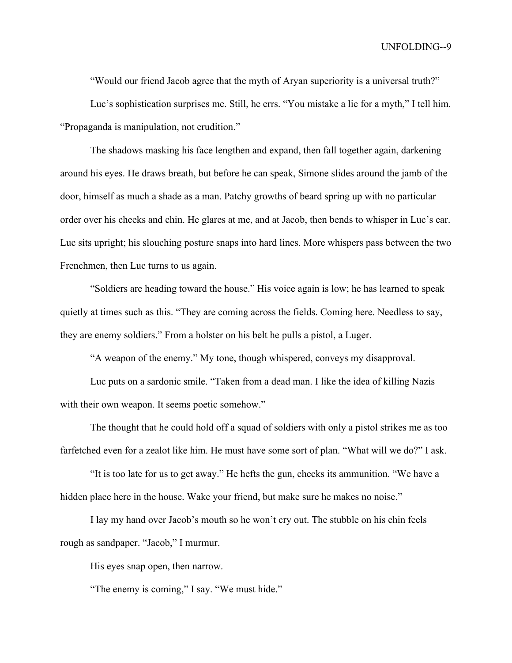"Would our friend Jacob agree that the myth of Aryan superiority is a universal truth?"

Luc's sophistication surprises me. Still, he errs. "You mistake a lie for a myth," I tell him. "Propaganda is manipulation, not erudition."

The shadows masking his face lengthen and expand, then fall together again, darkening around his eyes. He draws breath, but before he can speak, Simone slides around the jamb of the door, himself as much a shade as a man. Patchy growths of beard spring up with no particular order over his cheeks and chin. He glares at me, and at Jacob, then bends to whisper in Luc's ear. Luc sits upright; his slouching posture snaps into hard lines. More whispers pass between the two Frenchmen, then Luc turns to us again.

"Soldiers are heading toward the house." His voice again is low; he has learned to speak quietly at times such as this. "They are coming across the fields. Coming here. Needless to say, they are enemy soldiers." From a holster on his belt he pulls a pistol, a Luger.

"A weapon of the enemy." My tone, though whispered, conveys my disapproval.

Luc puts on a sardonic smile. "Taken from a dead man. I like the idea of killing Nazis with their own weapon. It seems poetic somehow."

The thought that he could hold off a squad of soldiers with only a pistol strikes me as too farfetched even for a zealot like him. He must have some sort of plan. "What will we do?" I ask.

"It is too late for us to get away." He hefts the gun, checks its ammunition. "We have a hidden place here in the house. Wake your friend, but make sure he makes no noise."

I lay my hand over Jacob's mouth so he won't cry out. The stubble on his chin feels rough as sandpaper. "Jacob," I murmur.

His eyes snap open, then narrow.

"The enemy is coming," I say. "We must hide."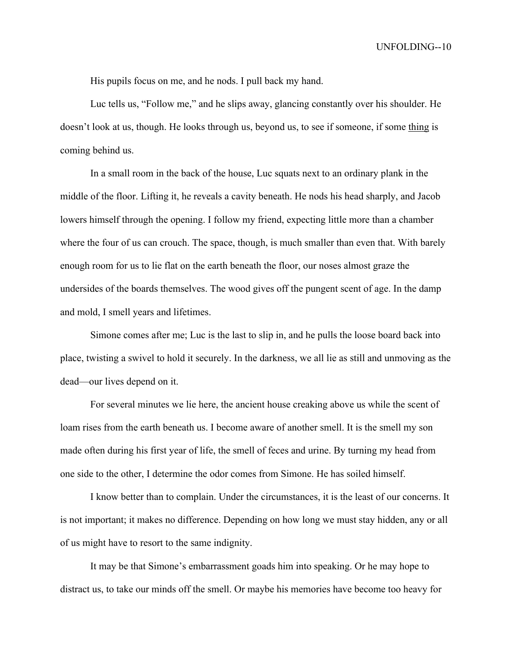His pupils focus on me, and he nods. I pull back my hand.

Luc tells us, "Follow me," and he slips away, glancing constantly over his shoulder. He doesn't look at us, though. He looks through us, beyond us, to see if someone, if some thing is coming behind us.

In a small room in the back of the house, Luc squats next to an ordinary plank in the middle of the floor. Lifting it, he reveals a cavity beneath. He nods his head sharply, and Jacob lowers himself through the opening. I follow my friend, expecting little more than a chamber where the four of us can crouch. The space, though, is much smaller than even that. With barely enough room for us to lie flat on the earth beneath the floor, our noses almost graze the undersides of the boards themselves. The wood gives off the pungent scent of age. In the damp and mold, I smell years and lifetimes.

Simone comes after me; Luc is the last to slip in, and he pulls the loose board back into place, twisting a swivel to hold it securely. In the darkness, we all lie as still and unmoving as the dead—our lives depend on it.

For several minutes we lie here, the ancient house creaking above us while the scent of loam rises from the earth beneath us. I become aware of another smell. It is the smell my son made often during his first year of life, the smell of feces and urine. By turning my head from one side to the other, I determine the odor comes from Simone. He has soiled himself.

I know better than to complain. Under the circumstances, it is the least of our concerns. It is not important; it makes no difference. Depending on how long we must stay hidden, any or all of us might have to resort to the same indignity.

It may be that Simone's embarrassment goads him into speaking. Or he may hope to distract us, to take our minds off the smell. Or maybe his memories have become too heavy for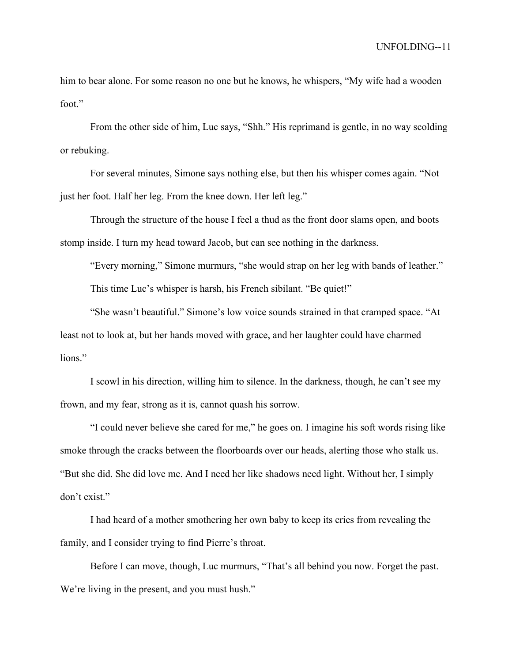him to bear alone. For some reason no one but he knows, he whispers, "My wife had a wooden foot."

From the other side of him, Luc says, "Shh." His reprimand is gentle, in no way scolding or rebuking.

For several minutes, Simone says nothing else, but then his whisper comes again. "Not just her foot. Half her leg. From the knee down. Her left leg."

Through the structure of the house I feel a thud as the front door slams open, and boots stomp inside. I turn my head toward Jacob, but can see nothing in the darkness.

"Every morning," Simone murmurs, "she would strap on her leg with bands of leather." This time Luc's whisper is harsh, his French sibilant. "Be quiet!"

"She wasn't beautiful." Simone's low voice sounds strained in that cramped space. "At least not to look at, but her hands moved with grace, and her laughter could have charmed lions."

I scowl in his direction, willing him to silence. In the darkness, though, he can't see my frown, and my fear, strong as it is, cannot quash his sorrow.

"I could never believe she cared for me," he goes on. I imagine his soft words rising like smoke through the cracks between the floorboards over our heads, alerting those who stalk us. "But she did. She did love me. And I need her like shadows need light. Without her, I simply don't exist."

I had heard of a mother smothering her own baby to keep its cries from revealing the family, and I consider trying to find Pierre's throat.

Before I can move, though, Luc murmurs, "That's all behind you now. Forget the past. We're living in the present, and you must hush."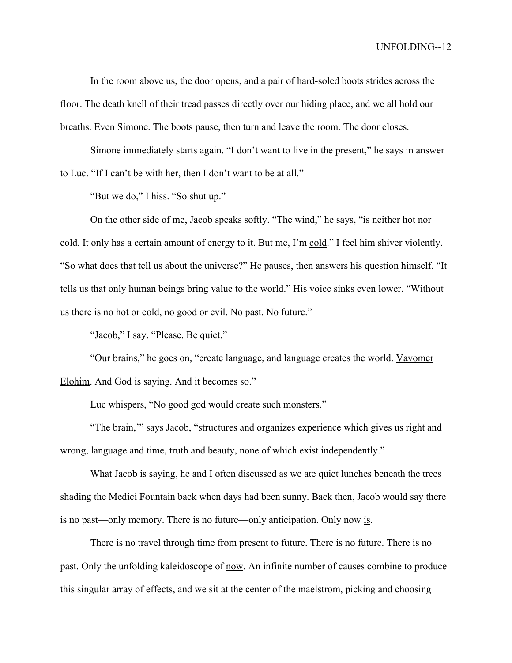In the room above us, the door opens, and a pair of hard-soled boots strides across the floor. The death knell of their tread passes directly over our hiding place, and we all hold our breaths. Even Simone. The boots pause, then turn and leave the room. The door closes.

Simone immediately starts again. "I don't want to live in the present," he says in answer to Luc. "If I can't be with her, then I don't want to be at all."

"But we do," I hiss. "So shut up."

On the other side of me, Jacob speaks softly. "The wind," he says, "is neither hot nor cold. It only has a certain amount of energy to it. But me, I'm cold." I feel him shiver violently. "So what does that tell us about the universe?" He pauses, then answers his question himself. "It tells us that only human beings bring value to the world." His voice sinks even lower. "Without us there is no hot or cold, no good or evil. No past. No future."

"Jacob," I say. "Please. Be quiet."

"Our brains," he goes on, "create language, and language creates the world. Vayomer Elohim. And God is saying. And it becomes so."

Luc whispers, "No good god would create such monsters."

"The brain,'" says Jacob, "structures and organizes experience which gives us right and wrong, language and time, truth and beauty, none of which exist independently."

What Jacob is saying, he and I often discussed as we ate quiet lunches beneath the trees shading the Medici Fountain back when days had been sunny. Back then, Jacob would say there is no past—only memory. There is no future—only anticipation. Only now is.

There is no travel through time from present to future. There is no future. There is no past. Only the unfolding kaleidoscope of now. An infinite number of causes combine to produce this singular array of effects, and we sit at the center of the maelstrom, picking and choosing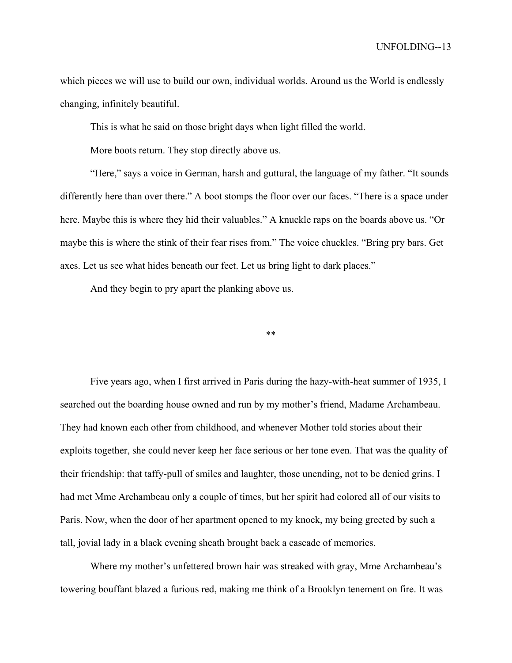which pieces we will use to build our own, individual worlds. Around us the World is endlessly changing, infinitely beautiful.

This is what he said on those bright days when light filled the world.

More boots return. They stop directly above us.

"Here," says a voice in German, harsh and guttural, the language of my father. "It sounds differently here than over there." A boot stomps the floor over our faces. "There is a space under here. Maybe this is where they hid their valuables." A knuckle raps on the boards above us. "Or maybe this is where the stink of their fear rises from." The voice chuckles. "Bring pry bars. Get axes. Let us see what hides beneath our feet. Let us bring light to dark places."

And they begin to pry apart the planking above us.

\*\*

Five years ago, when I first arrived in Paris during the hazy-with-heat summer of 1935, I searched out the boarding house owned and run by my mother's friend, Madame Archambeau. They had known each other from childhood, and whenever Mother told stories about their exploits together, she could never keep her face serious or her tone even. That was the quality of their friendship: that taffy-pull of smiles and laughter, those unending, not to be denied grins. I had met Mme Archambeau only a couple of times, but her spirit had colored all of our visits to Paris. Now, when the door of her apartment opened to my knock, my being greeted by such a tall, jovial lady in a black evening sheath brought back a cascade of memories.

Where my mother's unfettered brown hair was streaked with gray, Mme Archambeau's towering bouffant blazed a furious red, making me think of a Brooklyn tenement on fire. It was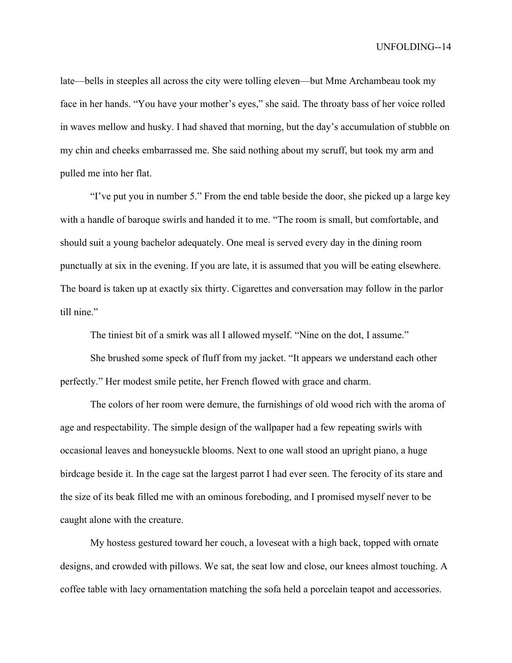late—bells in steeples all across the city were tolling eleven—but Mme Archambeau took my face in her hands. "You have your mother's eyes," she said. The throaty bass of her voice rolled in waves mellow and husky. I had shaved that morning, but the day's accumulation of stubble on my chin and cheeks embarrassed me. She said nothing about my scruff, but took my arm and pulled me into her flat.

"I've put you in number 5." From the end table beside the door, she picked up a large key with a handle of baroque swirls and handed it to me. "The room is small, but comfortable, and should suit a young bachelor adequately. One meal is served every day in the dining room punctually at six in the evening. If you are late, it is assumed that you will be eating elsewhere. The board is taken up at exactly six thirty. Cigarettes and conversation may follow in the parlor till nine."

The tiniest bit of a smirk was all I allowed myself. "Nine on the dot, I assume."

She brushed some speck of fluff from my jacket. "It appears we understand each other perfectly." Her modest smile petite, her French flowed with grace and charm.

The colors of her room were demure, the furnishings of old wood rich with the aroma of age and respectability. The simple design of the wallpaper had a few repeating swirls with occasional leaves and honeysuckle blooms. Next to one wall stood an upright piano, a huge birdcage beside it. In the cage sat the largest parrot I had ever seen. The ferocity of its stare and the size of its beak filled me with an ominous foreboding, and I promised myself never to be caught alone with the creature.

My hostess gestured toward her couch, a loveseat with a high back, topped with ornate designs, and crowded with pillows. We sat, the seat low and close, our knees almost touching. A coffee table with lacy ornamentation matching the sofa held a porcelain teapot and accessories.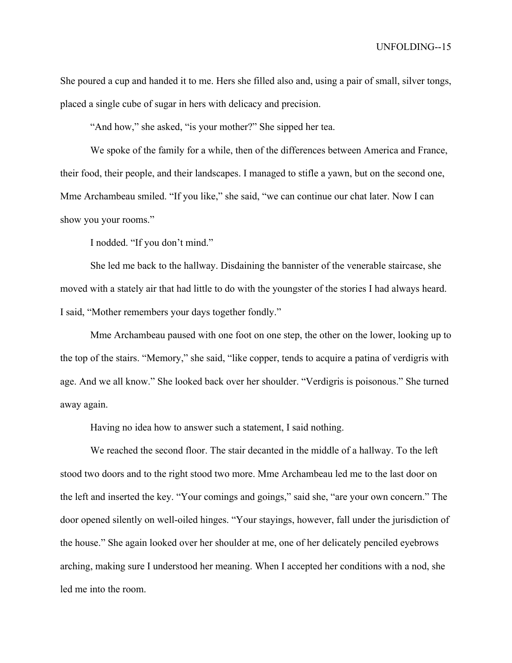She poured a cup and handed it to me. Hers she filled also and, using a pair of small, silver tongs, placed a single cube of sugar in hers with delicacy and precision.

"And how," she asked, "is your mother?" She sipped her tea.

We spoke of the family for a while, then of the differences between America and France, their food, their people, and their landscapes. I managed to stifle a yawn, but on the second one, Mme Archambeau smiled. "If you like," she said, "we can continue our chat later. Now I can show you your rooms."

I nodded. "If you don't mind."

She led me back to the hallway. Disdaining the bannister of the venerable staircase, she moved with a stately air that had little to do with the youngster of the stories I had always heard. I said, "Mother remembers your days together fondly."

Mme Archambeau paused with one foot on one step, the other on the lower, looking up to the top of the stairs. "Memory," she said, "like copper, tends to acquire a patina of verdigris with age. And we all know." She looked back over her shoulder. "Verdigris is poisonous." She turned away again.

Having no idea how to answer such a statement, I said nothing.

We reached the second floor. The stair decanted in the middle of a hallway. To the left stood two doors and to the right stood two more. Mme Archambeau led me to the last door on the left and inserted the key. "Your comings and goings," said she, "are your own concern." The door opened silently on well-oiled hinges. "Your stayings, however, fall under the jurisdiction of the house." She again looked over her shoulder at me, one of her delicately penciled eyebrows arching, making sure I understood her meaning. When I accepted her conditions with a nod, she led me into the room.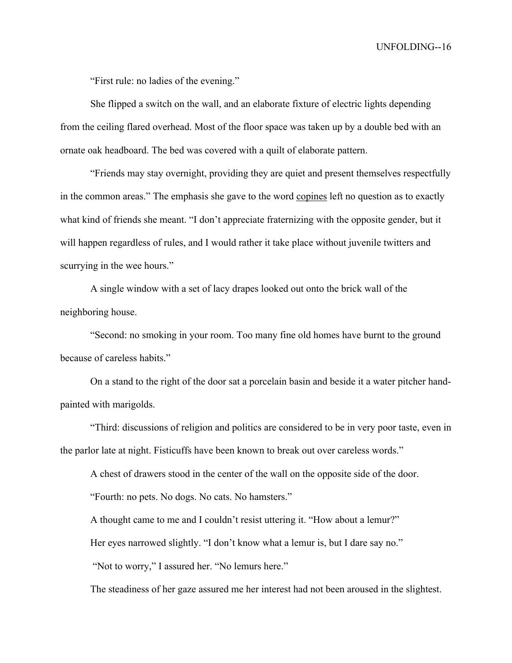"First rule: no ladies of the evening."

She flipped a switch on the wall, and an elaborate fixture of electric lights depending from the ceiling flared overhead. Most of the floor space was taken up by a double bed with an ornate oak headboard. The bed was covered with a quilt of elaborate pattern.

"Friends may stay overnight, providing they are quiet and present themselves respectfully in the common areas." The emphasis she gave to the word copines left no question as to exactly what kind of friends she meant. "I don't appreciate fraternizing with the opposite gender, but it will happen regardless of rules, and I would rather it take place without juvenile twitters and scurrying in the wee hours."

A single window with a set of lacy drapes looked out onto the brick wall of the neighboring house.

"Second: no smoking in your room. Too many fine old homes have burnt to the ground because of careless habits."

On a stand to the right of the door sat a porcelain basin and beside it a water pitcher handpainted with marigolds.

"Third: discussions of religion and politics are considered to be in very poor taste, even in the parlor late at night. Fisticuffs have been known to break out over careless words."

A chest of drawers stood in the center of the wall on the opposite side of the door.

"Fourth: no pets. No dogs. No cats. No hamsters."

A thought came to me and I couldn't resist uttering it. "How about a lemur?"

Her eyes narrowed slightly. "I don't know what a lemur is, but I dare say no."

"Not to worry," I assured her. "No lemurs here."

The steadiness of her gaze assured me her interest had not been aroused in the slightest.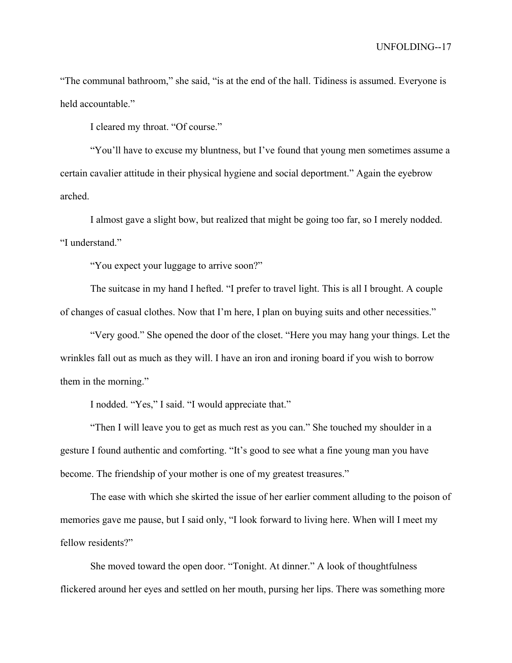"The communal bathroom," she said, "is at the end of the hall. Tidiness is assumed. Everyone is held accountable."

I cleared my throat. "Of course."

"You'll have to excuse my bluntness, but I've found that young men sometimes assume a certain cavalier attitude in their physical hygiene and social deportment." Again the eyebrow arched.

I almost gave a slight bow, but realized that might be going too far, so I merely nodded. "I understand."

"You expect your luggage to arrive soon?"

The suitcase in my hand I hefted. "I prefer to travel light. This is all I brought. A couple of changes of casual clothes. Now that I'm here, I plan on buying suits and other necessities."

"Very good." She opened the door of the closet. "Here you may hang your things. Let the wrinkles fall out as much as they will. I have an iron and ironing board if you wish to borrow them in the morning."

I nodded. "Yes," I said. "I would appreciate that."

"Then I will leave you to get as much rest as you can." She touched my shoulder in a gesture I found authentic and comforting. "It's good to see what a fine young man you have become. The friendship of your mother is one of my greatest treasures."

The ease with which she skirted the issue of her earlier comment alluding to the poison of memories gave me pause, but I said only, "I look forward to living here. When will I meet my fellow residents?"

She moved toward the open door. "Tonight. At dinner." A look of thoughtfulness flickered around her eyes and settled on her mouth, pursing her lips. There was something more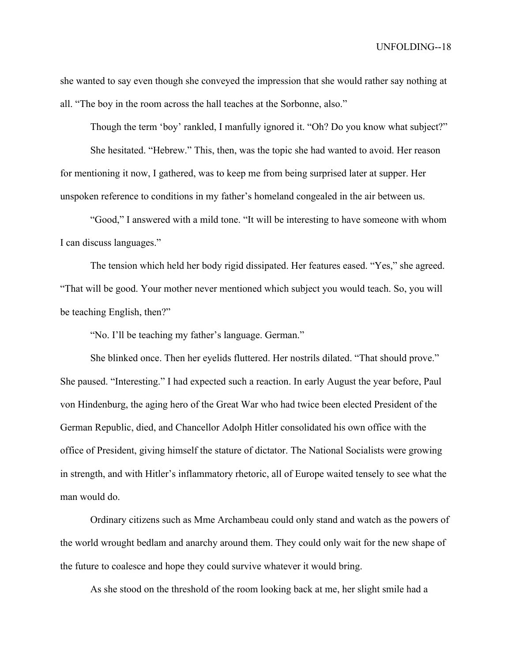she wanted to say even though she conveyed the impression that she would rather say nothing at all. "The boy in the room across the hall teaches at the Sorbonne, also."

Though the term 'boy' rankled, I manfully ignored it. "Oh? Do you know what subject?"

She hesitated. "Hebrew." This, then, was the topic she had wanted to avoid. Her reason for mentioning it now, I gathered, was to keep me from being surprised later at supper. Her unspoken reference to conditions in my father's homeland congealed in the air between us.

"Good," I answered with a mild tone. "It will be interesting to have someone with whom I can discuss languages."

The tension which held her body rigid dissipated. Her features eased. "Yes," she agreed. "That will be good. Your mother never mentioned which subject you would teach. So, you will be teaching English, then?"

"No. I'll be teaching my father's language. German."

She blinked once. Then her eyelids fluttered. Her nostrils dilated. "That should prove." She paused. "Interesting." I had expected such a reaction. In early August the year before, Paul von Hindenburg, the aging hero of the Great War who had twice been elected President of the German Republic, died, and Chancellor Adolph Hitler consolidated his own office with the office of President, giving himself the stature of dictator. The National Socialists were growing in strength, and with Hitler's inflammatory rhetoric, all of Europe waited tensely to see what the man would do.

Ordinary citizens such as Mme Archambeau could only stand and watch as the powers of the world wrought bedlam and anarchy around them. They could only wait for the new shape of the future to coalesce and hope they could survive whatever it would bring.

As she stood on the threshold of the room looking back at me, her slight smile had a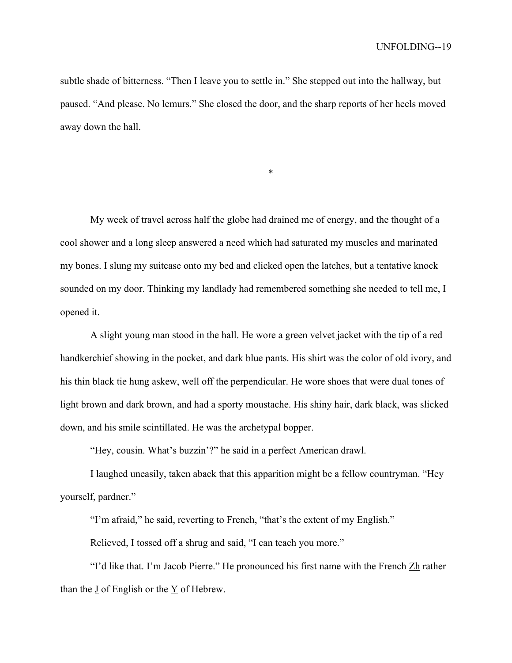subtle shade of bitterness. "Then I leave you to settle in." She stepped out into the hallway, but paused. "And please. No lemurs." She closed the door, and the sharp reports of her heels moved away down the hall.

\*

My week of travel across half the globe had drained me of energy, and the thought of a cool shower and a long sleep answered a need which had saturated my muscles and marinated my bones. I slung my suitcase onto my bed and clicked open the latches, but a tentative knock sounded on my door. Thinking my landlady had remembered something she needed to tell me, I opened it.

A slight young man stood in the hall. He wore a green velvet jacket with the tip of a red handkerchief showing in the pocket, and dark blue pants. His shirt was the color of old ivory, and his thin black tie hung askew, well off the perpendicular. He wore shoes that were dual tones of light brown and dark brown, and had a sporty moustache. His shiny hair, dark black, was slicked down, and his smile scintillated. He was the archetypal bopper.

"Hey, cousin. What's buzzin'?" he said in a perfect American drawl.

I laughed uneasily, taken aback that this apparition might be a fellow countryman. "Hey yourself, pardner."

"I'm afraid," he said, reverting to French, "that's the extent of my English."

Relieved, I tossed off a shrug and said, "I can teach you more."

"I'd like that. I'm Jacob Pierre." He pronounced his first name with the French Zh rather than the J of English or the Y of Hebrew.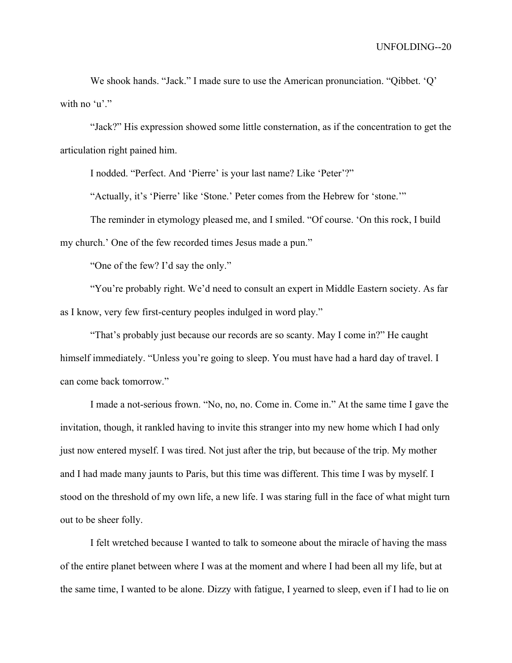We shook hands. "Jack." I made sure to use the American pronunciation. "Qibbet. 'Q' with no 'u'."

"Jack?" His expression showed some little consternation, as if the concentration to get the articulation right pained him.

I nodded. "Perfect. And 'Pierre' is your last name? Like 'Peter'?"

"Actually, it's 'Pierre' like 'Stone.' Peter comes from the Hebrew for 'stone.'"

The reminder in etymology pleased me, and I smiled. "Of course. 'On this rock, I build my church.' One of the few recorded times Jesus made a pun."

"One of the few? I'd say the only."

"You're probably right. We'd need to consult an expert in Middle Eastern society. As far as I know, very few first-century peoples indulged in word play."

"That's probably just because our records are so scanty. May I come in?" He caught himself immediately. "Unless you're going to sleep. You must have had a hard day of travel. I can come back tomorrow."

I made a not-serious frown. "No, no, no. Come in. Come in." At the same time I gave the invitation, though, it rankled having to invite this stranger into my new home which I had only just now entered myself. I was tired. Not just after the trip, but because of the trip. My mother and I had made many jaunts to Paris, but this time was different. This time I was by myself. I stood on the threshold of my own life, a new life. I was staring full in the face of what might turn out to be sheer folly.

I felt wretched because I wanted to talk to someone about the miracle of having the mass of the entire planet between where I was at the moment and where I had been all my life, but at the same time, I wanted to be alone. Dizzy with fatigue, I yearned to sleep, even if I had to lie on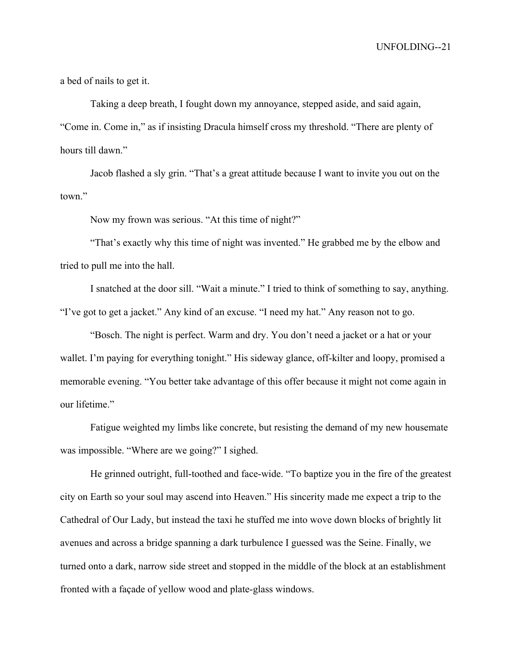a bed of nails to get it.

Taking a deep breath, I fought down my annoyance, stepped aside, and said again, "Come in. Come in," as if insisting Dracula himself cross my threshold. "There are plenty of hours till dawn."

Jacob flashed a sly grin. "That's a great attitude because I want to invite you out on the town."

Now my frown was serious. "At this time of night?"

"That's exactly why this time of night was invented." He grabbed me by the elbow and tried to pull me into the hall.

I snatched at the door sill. "Wait a minute." I tried to think of something to say, anything. "I've got to get a jacket." Any kind of an excuse. "I need my hat." Any reason not to go.

"Bosch. The night is perfect. Warm and dry. You don't need a jacket or a hat or your wallet. I'm paying for everything tonight." His sideway glance, off-kilter and loopy, promised a memorable evening. "You better take advantage of this offer because it might not come again in our lifetime."

Fatigue weighted my limbs like concrete, but resisting the demand of my new housemate was impossible. "Where are we going?" I sighed.

He grinned outright, full-toothed and face-wide. "To baptize you in the fire of the greatest city on Earth so your soul may ascend into Heaven." His sincerity made me expect a trip to the Cathedral of Our Lady, but instead the taxi he stuffed me into wove down blocks of brightly lit avenues and across a bridge spanning a dark turbulence I guessed was the Seine. Finally, we turned onto a dark, narrow side street and stopped in the middle of the block at an establishment fronted with a façade of yellow wood and plate-glass windows.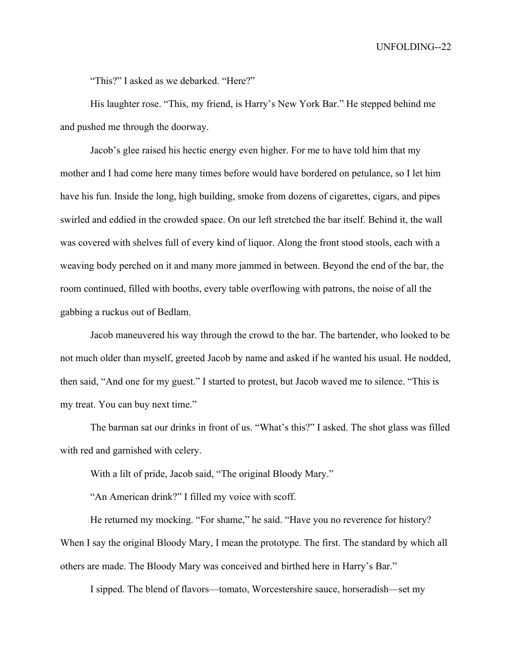"This?" I asked as we debarked. "Here?"

His laughter rose. "This, my friend, is Harry's New York Bar." He stepped behind me and pushed me through the doorway.

Jacob's glee raised his hectic energy even higher. For me to have told him that my mother and I had come here many times before would have bordered on petulance, so I let him have his fun. Inside the long, high building, smoke from dozens of cigarettes, cigars, and pipes swirled and eddied in the crowded space. On our left stretched the bar itself. Behind it, the wall was covered with shelves full of every kind of liquor. Along the front stood stools, each with a weaving body perched on it and many more jammed in between. Beyond the end of the bar, the room continued, filled with booths, every table overflowing with patrons, the noise of all the gabbing a ruckus out of Bedlam.

Jacob maneuvered his way through the crowd to the bar. The bartender, who looked to be not much older than myself, greeted Jacob by name and asked if he wanted his usual. He nodded, then said, "And one for my guest." I started to protest, but Jacob waved me to silence. "This is my treat. You can buy next time."

The barman sat our drinks in front of us. "What's this?" I asked. The shot glass was filled with red and garnished with celery.

With a lilt of pride, Jacob said, "The original Bloody Mary."

"An American drink?" I filled my voice with scoff.

He returned my mocking. "For shame," he said. "Have you no reverence for history? When I say the original Bloody Mary, I mean the prototype. The first. The standard by which all others are made. The Bloody Mary was conceived and birthed here in Harry's Bar."

I sipped. The blend of flavors—tomato, Worcestershire sauce, horseradish—set my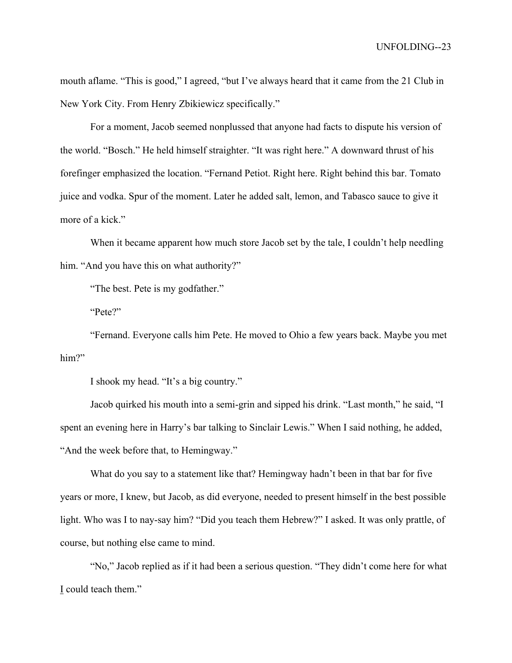mouth aflame. "This is good," I agreed, "but I've always heard that it came from the 21 Club in New York City. From Henry Zbikiewicz specifically."

For a moment, Jacob seemed nonplussed that anyone had facts to dispute his version of the world. "Bosch." He held himself straighter. "It was right here." A downward thrust of his forefinger emphasized the location. "Fernand Petiot. Right here. Right behind this bar. Tomato juice and vodka. Spur of the moment. Later he added salt, lemon, and Tabasco sauce to give it more of a kick."

When it became apparent how much store Jacob set by the tale, I couldn't help needling him. "And you have this on what authority?"

"The best. Pete is my godfather."

"Pete?"

"Fernand. Everyone calls him Pete. He moved to Ohio a few years back. Maybe you met him?"

I shook my head. "It's a big country."

Jacob quirked his mouth into a semi-grin and sipped his drink. "Last month," he said, "I spent an evening here in Harry's bar talking to Sinclair Lewis." When I said nothing, he added, "And the week before that, to Hemingway."

What do you say to a statement like that? Hemingway hadn't been in that bar for five years or more, I knew, but Jacob, as did everyone, needed to present himself in the best possible light. Who was I to nay-say him? "Did you teach them Hebrew?" I asked. It was only prattle, of course, but nothing else came to mind.

"No," Jacob replied as if it had been a serious question. "They didn't come here for what I could teach them."